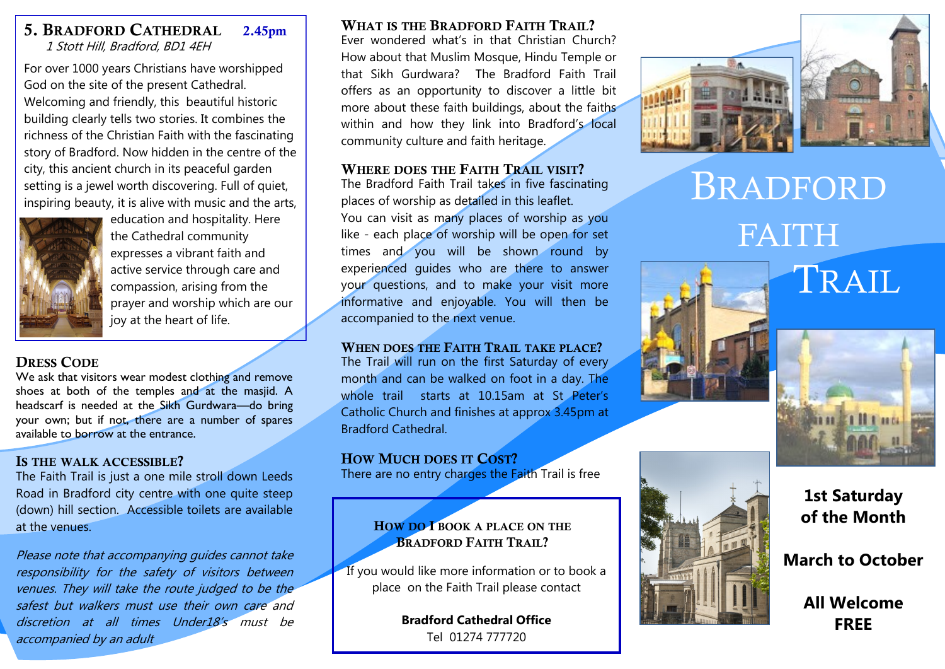### 5. BRADFORD CATHEDRAL 2.45pm 1 Stott Hill, Bradford, BD1 4EH

For over 1000 years Christians have worshipped God on the site of the present Cathedral. Welcoming and friendly, this beautiful historic building clearly tells two stories. It combines the richness of the Christian Faith with the fascinating story of Bradford. Now hidden in the centre of the city, this ancient church in its peaceful garden setting is a jewel worth discovering. Full of quiet, inspiring beauty, it is alive with music and the arts,



education and hospitality. Here the Cathedral community expresses a vibrant faith and active service through care and compassion, arising from the prayer and worship which are our joy at the heart of life.

### DRESS CODE

We ask that visitors wear modest clothing and remove shoes at both of the temples and at the masjid. A headscarf is needed at the Sikh Gurdwara—do bring your own; but if not, there are a number of spares available to borrow at the entrance.

### IS THE WALK ACCESSIBLE?

The Faith Trail is just a one mile stroll down Leeds Road in Bradford city centre with one quite steep (down) hill section. Accessible toilets are available at the venues.

Please note that accompanying guides cannot take responsibility for the safety of visitors between venues. They will take the route judged to be the safest but walkers must use their own care and discretion at all times Under18's must be accompanied by an adult

### WHAT IS THE BRADFORD FAITH TRAIL?

Ever wondered what's in that Christian Church? How about that Muslim Mosque, Hindu Temple or that Sikh Gurdwara? The Bradford Faith Trail offers as an opportunity to discover a little bit more about these faith buildings, about the faiths within and how they link into Bradford's local community culture and faith heritage.

### WHERE DOES THE FAITH TRAIL VISIT?

The Bradford Faith Trail takes in five fascinating places of worship as detailed in this leaflet. You can visit as many places of worship as you like - each place of worship will be open for set times and you will be shown round by experienced guides who are there to answer your questions, and to make your visit more informative and enjoyable. You will then be accompanied to the next venue.

WHEN DOES THE FAITH TRAIL TAKE PLACE? The Trail will run on the first Saturday of every month and can be walked on foot in a day. The whole trail starts at 10.15am at St Peter's Catholic Church and finishes at approx 3.45pm at Bradford Cathedral.

### HOW MUCH DOES IT COST?

There are no entry charges the Faith Trail is free

### HOW DO I BOOK A PLACE ON THE BRADFORD FAITH TRAIL?

If you would like more information or to book a place on the Faith Trail please contact

> **Bradford Cathedral Office** Tel 01274 777720



# BRADFORD FAITH





TRAIL

**1st Saturday of the Month** 

**March to October** 

**All Welcome FREE**